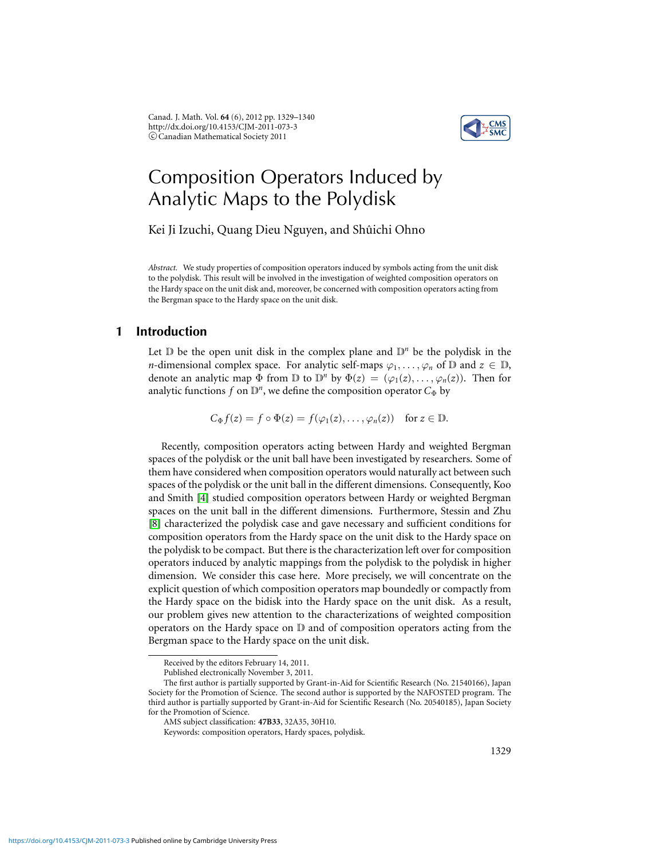Canad. J. Math. Vol. **64** (6), 2012 pp. 1329–1340 http://dx.doi.org/10.4153/CJM-2011-073-3 c Canadian Mathematical Society 2011



# Composition Operators Induced by Analytic Maps to the Polydisk

Kei Ji Izuchi, Quang Dieu Nguyen, and Shûichi Ohno

*Abstract.* We study properties of composition operators induced by symbols acting from the unit disk to the polydisk. This result will be involved in the investigation of weighted composition operators on the Hardy space on the unit disk and, moreover, be concerned with composition operators acting from the Bergman space to the Hardy space on the unit disk.

# **1 Introduction**

Let  $D$  be the open unit disk in the complex plane and  $D^n$  be the polydisk in the *n*-dimensional complex space. For analytic self-maps  $\varphi_1, \ldots, \varphi_n$  of D and  $z \in \mathbb{D}$ , denote an analytic map  $\Phi$  from  $D$  to  $D^n$  by  $\Phi(z) = (\varphi_1(z), \ldots, \varphi_n(z))$ . Then for analytic functions  $f$  on  $\mathbb{D}^n$ , we define the composition operator  $C_{\Phi}$  by

 $C_{\Phi} f(z) = f \circ \Phi(z) = f(\varphi_1(z), \ldots, \varphi_n(z))$  for  $z \in \mathbb{D}$ .

Recently, composition operators acting between Hardy and weighted Bergman spaces of the polydisk or the unit ball have been investigated by researchers. Some of them have considered when composition operators would naturally act between such spaces of the polydisk or the unit ball in the different dimensions. Consequently, Koo and Smith [\[4\]](#page-11-0) studied composition operators between Hardy or weighted Bergman spaces on the unit ball in the different dimensions. Furthermore, Stessin and Zhu [\[8\]](#page-11-1) characterized the polydisk case and gave necessary and sufficient conditions for composition operators from the Hardy space on the unit disk to the Hardy space on the polydisk to be compact. But there is the characterization left over for composition operators induced by analytic mappings from the polydisk to the polydisk in higher dimension. We consider this case here. More precisely, we will concentrate on the explicit question of which composition operators map boundedly or compactly from the Hardy space on the bidisk into the Hardy space on the unit disk. As a result, our problem gives new attention to the characterizations of weighted composition operators on the Hardy space on D and of composition operators acting from the Bergman space to the Hardy space on the unit disk.

Received by the editors February 14, 2011.

Published electronically November 3, 2011.

The first author is partially supported by Grant-in-Aid for Scientific Research (No. 21540166), Japan Society for the Promotion of Science. The second author is supported by the NAFOSTED program. The third author is partially supported by Grant-in-Aid for Scientific Research (No. 20540185), Japan Society for the Promotion of Science.

AMS subject classification: **47B33**, 32A35, 30H10.

Keywords: composition operators, Hardy spaces, polydisk.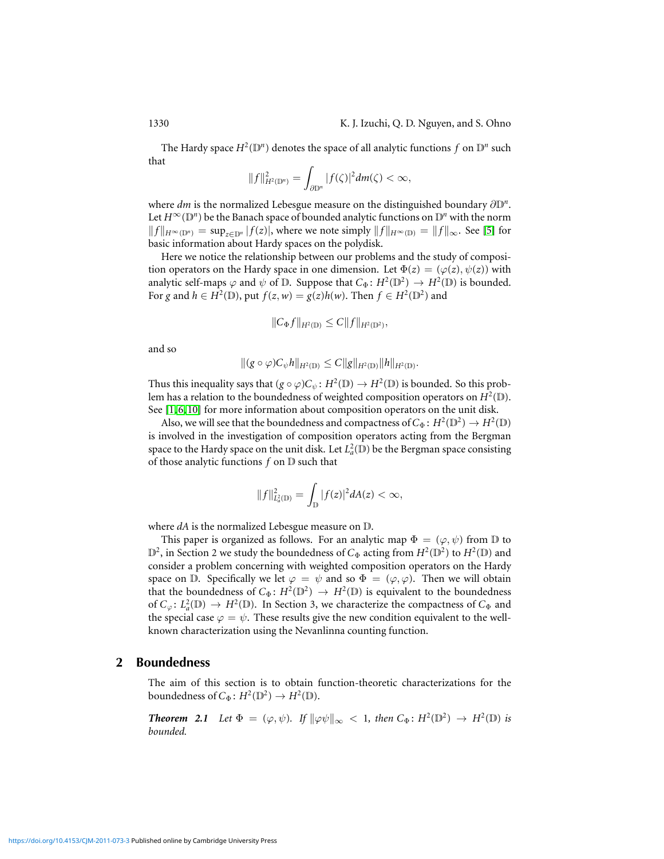The Hardy space  $H^2(\mathbb{D}^n)$  denotes the space of all analytic functions  $f$  on  $\mathbb{D}^n$  such that

$$
||f||_{H^2(\mathbb{D}^n)}^2=\int_{\partial\mathbb{D}^n}|f(\zeta)|^2dm(\zeta)<\infty,
$$

where *dm* is the normalized Lebesgue measure on the distinguished boundary ∂D*<sup>n</sup>* . Let  $H^{\infty}(\mathbb{D}^n)$  be the Banach space of bounded analytic functions on  $\mathbb{D}^n$  with the norm *f*  $||f||_{H^\infty(\mathbb{D}^n)} = \sup_{z \in \mathbb{D}^n} |f(z)|$ , where we note simply  $||f||_{H^\infty(\mathbb{D})} = ||f||_{\infty}$ . See [\[5\]](#page-11-2) for basic information about Hardy spaces on the polydisk.

Here we notice the relationship between our problems and the study of composition operators on the Hardy space in one dimension. Let  $\Phi(z) = (\varphi(z), \psi(z))$  with analytic self-maps  $\varphi$  and  $\psi$  of  $\mathbb{D}$ . Suppose that  $C_{\Phi} : H^2(\mathbb{D}^2) \to H^2(\mathbb{D})$  is bounded. For *g* and  $h \in H^2(\mathbb{D})$ , put  $f(z, w) = g(z)h(w)$ . Then  $f \in H^2(\mathbb{D}^2)$  and

$$
||C_{\Phi}f||_{H^2(\mathbb{D})} \leq C||f||_{H^2(\mathbb{D}^2)},
$$

and so

$$
\|(g\circ\varphi)C_{\psi}h\|_{H^2(\mathbb{D})}\leq C\|g\|_{H^2(\mathbb{D})}\|h\|_{H^2(\mathbb{D})}.
$$

Thus this inequality says that  $(g \circ \varphi)C_{\psi} : H^2(\mathbb{D}) \to H^2(\mathbb{D})$  is bounded. So this problem has a relation to the boundedness of weighted composition operators on  $H^2(\mathbb{D})$ . See [\[1,](#page-11-3) [6,](#page-11-4) [10\]](#page-11-5) for more information about composition operators on the unit disk.

Also, we will see that the boundedness and compactness of  $C_{\Phi}$ :  $H^2(\mathbb{D}^2) \to H^2(\mathbb{D})$ is involved in the investigation of composition operators acting from the Bergman space to the Hardy space on the unit disk. Let  $L^2_a(\mathbb{D})$  be the Bergman space consisting of those analytic functions *f* on D such that

$$
||f||_{L_a^2(\mathbb{D})}^2 = \int_{\mathbb{D}} |f(z)|^2 dA(z) < \infty,
$$

where *dA* is the normalized Lebesgue measure on D.

This paper is organized as follows. For an analytic map  $\Phi = (\varphi, \psi)$  from D to D<sup>2</sup>, in Section 2 we study the boundedness of *C*<sub>Φ</sub> acting from  $H^2(\mathbb{D}^2)$  to  $H^2(\mathbb{D})$  and consider a problem concerning with weighted composition operators on the Hardy space on D. Specifically we let  $\varphi = \psi$  and so  $\Phi = (\varphi, \varphi)$ . Then we will obtain that the boundedness of  $C_{\Phi}$ :  $H^2(\mathbb{D}^2) \to H^2(\mathbb{D})$  is equivalent to the boundedness of  $C_\varphi: L^2_a(\mathbb{D}) \to H^2(\mathbb{D})$ . In Section 3, we characterize the compactness of  $C_\Phi$  and the special case  $\varphi = \psi$ . These results give the new condition equivalent to the wellknown characterization using the Nevanlinna counting function.

# **2 Boundedness**

The aim of this section is to obtain function-theoretic characterizations for the boundedness of  $C_{\Phi}$ :  $H^2(\mathbb{D}^2) \to H^2(\mathbb{D})$ .

<span id="page-1-0"></span>**Theorem 2.1** Let  $\Phi = (\varphi, \psi)$ . If  $\|\varphi\psi\|_{\infty} < 1$ , then  $C_{\Phi} \colon H^2(\mathbb{D}^2) \to H^2(\mathbb{D})$  is *bounded.*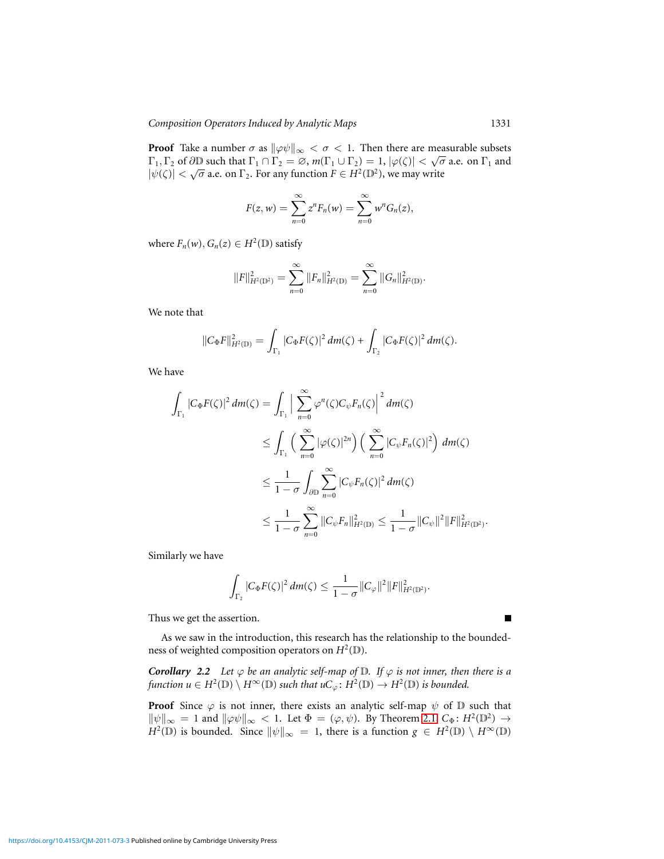**Proof** Take a number  $\sigma$  as  $\|\varphi\psi\|_{\infty} < \sigma < 1$ . Then there are measurable subsets  $\Gamma_1, \Gamma_2$  of  $\partial \mathbb{D}$  such that  $\Gamma_1 \cap \Gamma_2 = \emptyset$ ,  $m(\Gamma_1 \cup \Gamma_2) = 1$ ,  $|\varphi(\zeta)| < \sqrt{\sigma}$  a.e. on  $\Gamma_1$  and  $|\psi(\zeta)| < \sqrt{\sigma}$  a.e. on  $\Gamma_2$ . For any function  $F \in H^2(\mathbb{D}^2)$ , we may write

$$
F(z,w)=\sum_{n=0}^{\infty}z^nF_n(w)=\sum_{n=0}^{\infty}w^nG_n(z),
$$

where  $F_n(w)$ ,  $G_n(z) \in H^2(\mathbb{D})$  satisfy

$$
||F||_{H^{2}(\mathbb{D}^{2})}^{2} = \sum_{n=0}^{\infty} ||F_{n}||_{H^{2}(\mathbb{D})}^{2} = \sum_{n=0}^{\infty} ||G_{n}||_{H^{2}(\mathbb{D})}^{2}.
$$

We note that

$$
||C_{\Phi}F||_{H^{2}(\mathbb{D})}^{2} = \int_{\Gamma_{1}} |C_{\Phi}F(\zeta)|^{2} dm(\zeta) + \int_{\Gamma_{2}} |C_{\Phi}F(\zeta)|^{2} dm(\zeta).
$$

We have

$$
\int_{\Gamma_1} |C_{\Phi}F(\zeta)|^2 dm(\zeta) = \int_{\Gamma_1} \Big| \sum_{n=0}^{\infty} \varphi^n(\zeta) C_{\psi} F_n(\zeta) \Big|^2 dm(\zeta)
$$
  
\n
$$
\leq \int_{\Gamma_1} \Big( \sum_{n=0}^{\infty} |\varphi(\zeta)|^{2n} \Big) \Big( \sum_{n=0}^{\infty} |C_{\psi} F_n(\zeta)|^2 \Big) dm(\zeta)
$$
  
\n
$$
\leq \frac{1}{1-\sigma} \int_{\partial D} \sum_{n=0}^{\infty} |C_{\psi} F_n(\zeta)|^2 dm(\zeta)
$$
  
\n
$$
\leq \frac{1}{1-\sigma} \sum_{n=0}^{\infty} ||C_{\psi} F_n||_{H^2(D)}^2 \leq \frac{1}{1-\sigma} ||C_{\psi}||^2 ||F||_{H^2(D^2)}^2.
$$

Similarly we have

$$
\int_{\Gamma_2} |C_{\Phi} F(\zeta)|^2 \, dm(\zeta) \leq \frac{1}{1-\sigma} ||C_{\varphi}||^2 ||F||^2_{H^2(\mathbb{D}^2)}.
$$

Thus we get the assertion.

As we saw in the introduction, this research has the relationship to the boundedness of weighted composition operators on  $H^2(\mathbb{D})$ .

*Corollary 2.2 Let*  $\varphi$  *be an analytic self-map of*  $\mathbb{D}$ *. If*  $\varphi$  *is not inner, then there is a*  $f$ unction  $u \in H^2(\mathbb{D}) \setminus H^{\infty}(\mathbb{D})$  such that  $uC_{\varphi} \colon H^2(\mathbb{D}) \to H^2(\mathbb{D})$  is bounded.

**Proof** Since  $\varphi$  is not inner, there exists an analytic self-map  $\psi$  of  $\mathbb D$  such that  $\|\psi\|_{\infty} = 1$  and  $\|\varphi\psi\|_{\infty} < 1$ . Let  $\Phi = (\varphi, \psi)$ . By Theorem [2.1,](#page-1-0)  $C_{\Phi} : H^2(\mathbb{D}^2) \to$  $H^2(\mathbb{D})$  is bounded. Since  $\|\psi\|_{\infty} = 1$ , there is a function  $g \in H^2(\mathbb{D}) \setminus H^{\infty}(\mathbb{D})$ 

œ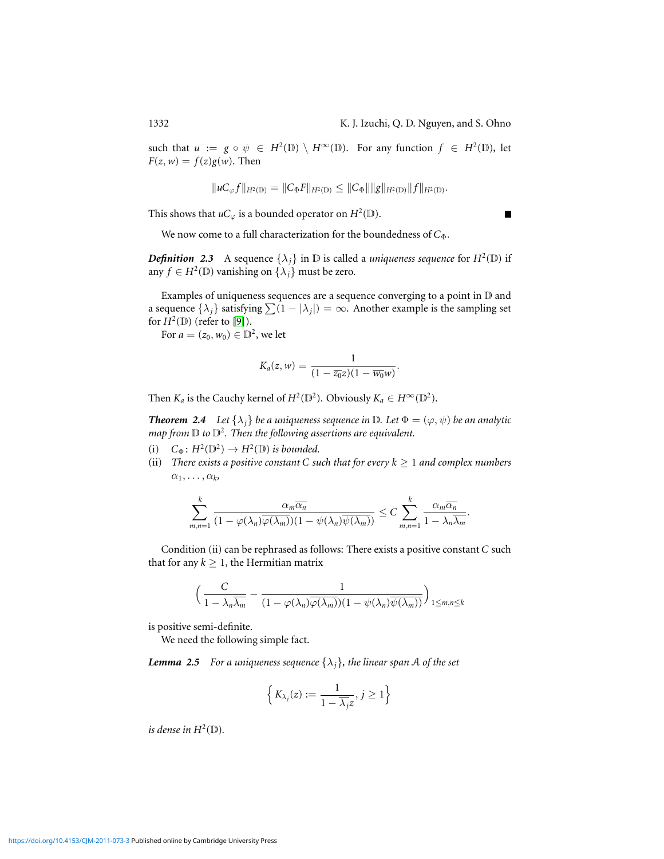such that  $u := g \circ \psi \in H^2(\mathbb{D}) \setminus H^{\infty}(\mathbb{D})$ . For any function  $f \in H^2(\mathbb{D})$ , let  $F(z, w) = f(z)g(w)$ . Then

$$
||uc_{\varphi}f||_{H^2(\mathbb{D})}=||C_{\Phi}F||_{H^2(\mathbb{D})}\leq ||C_{\Phi}|| ||g||_{H^2(\mathbb{D})}||f||_{H^2(\mathbb{D})}.
$$

This shows that  $uC_\varphi$  is a bounded operator on  $H^2(\mathbb{D})$ .

We now come to a full characterization for the boundedness of *C*<sup>φ</sup>.

*Definition* 2.3 A sequence  $\{\lambda_j\}$  in D is called a *uniqueness sequence* for  $H^2(\mathbb{D})$  if any  $f \in H^2(\mathbb{D})$  vanishing on  $\{\lambda_j\}$  must be zero.

Examples of uniqueness sequences are a sequence converging to a point in D and a sequence  $\{\lambda_j\}$  satisfying  $\sum (1 - |\lambda_j|) = \infty$ . Another example is the sampling set for  $H^2(\mathbb{D})$  (refer to [\[9\]](#page-11-6)).

For  $a = (z_0, w_0) \in \mathbb{D}^2$ , we let

$$
K_a(z,w)=\frac{1}{(1-\overline{z_0}z)(1-\overline{w_0}w)}.
$$

Then  $K_a$  is the Cauchy kernel of  $H^2(\mathbb{D}^2)$ . Obviously  $K_a \in H^{\infty}(\mathbb{D}^2)$ .

<span id="page-3-0"></span>*Theorem 2.4 Let*  $\{\lambda_i\}$  *be a uniqueness sequence in*  $\mathbb{D}$ *. Let*  $\Phi = (\varphi, \psi)$  *be an analytic* map from  $\mathbb D$  to  $\mathbb D^2$ . Then the following assertions are equivalent.

- (i)  $C_{\Phi}$ :  $H^2(\mathbb{D}^2) \to H^2(\mathbb{D})$  *is bounded.*
- (ii) *There exists a positive constant C such that for every*  $k \ge 1$  *and complex numbers*  $\alpha_1, \ldots, \alpha_k$

$$
\sum_{m,n=1}^k \frac{\alpha_m \overline{\alpha_n}}{(1 - \varphi(\lambda_n)\overline{\varphi(\lambda_m)})(1 - \psi(\lambda_n)\overline{\psi(\lambda_m)})} \leq C \sum_{m,n=1}^k \frac{\alpha_m \overline{\alpha_n}}{1 - \lambda_n \overline{\lambda_n}}.
$$

Condition (ii) can be rephrased as follows: There exists a positive constant *C* such that for any  $k \geq 1$ , the Hermitian matrix

$$
\left(\frac{C}{1-\lambda_n\overline{\lambda_m}}-\frac{1}{(1-\varphi(\lambda_n)\overline{\varphi(\lambda_m)})(1-\psi(\lambda_n)\overline{\psi(\lambda_m)})}\right)_{1\leq m,n\leq k}
$$

is positive semi-definite.

We need the following simple fact.

<span id="page-3-1"></span>*Lemma 2.5 For a uniqueness sequence*  $\{\lambda_i\}$ *, the linear span* A *of the set* 

$$
\left\{K_{\lambda_j}(z) := \frac{1}{1 - \overline{\lambda_j} z}, j \geq 1\right\}
$$

*is dense in*  $H^2(\mathbb{D})$ .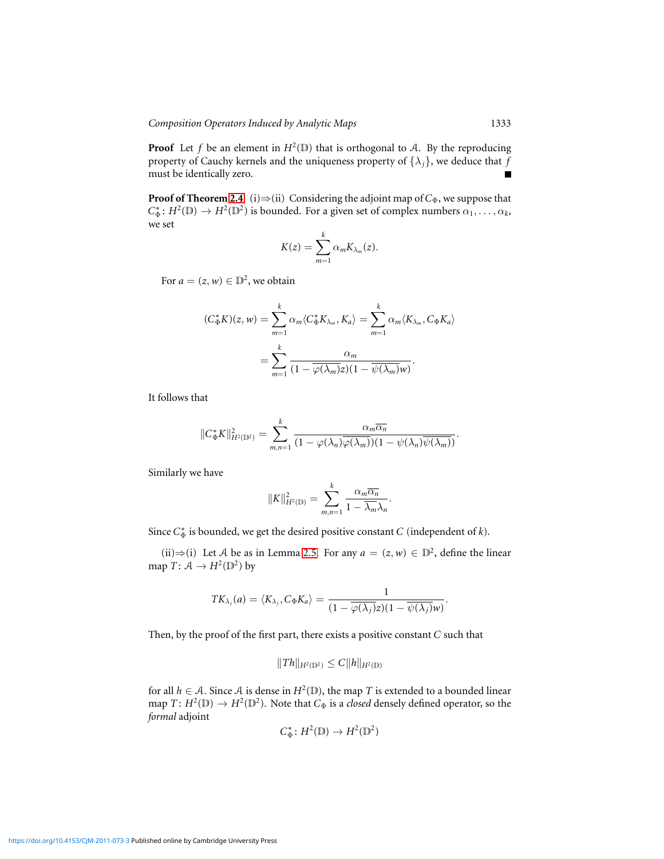**Proof** Let f be an element in  $H^2(\mathbb{D})$  that is orthogonal to A. By the reproducing property of Cauchy kernels and the uniqueness property of  $\{\lambda_i\}$ , we deduce that *f* must be identically zero.

**Proof of Theorem [2.4](#page-3-0)** (i) $\Rightarrow$ (ii) Considering the adjoint map of  $C_{\Phi}$ , we suppose that  $C^*_{\Phi}$ :  $H^2(\mathbb{D}) \to H^2(\mathbb{D}^2)$  is bounded. For a given set of complex numbers  $\alpha_1, \ldots, \alpha_k$ , we set

$$
K(z) = \sum_{m=1}^{k} \alpha_m K_{\lambda_m}(z).
$$

For  $a = (z, w) \in \mathbb{D}^2$ , we obtain

$$
(C_{\Phi}^{*}K)(z, w) = \sum_{m=1}^{k} \alpha_m \langle C_{\Phi}^{*}K_{\lambda_m}, K_a \rangle = \sum_{m=1}^{k} \alpha_m \langle K_{\lambda_m}, C_{\Phi}K_a \rangle
$$

$$
= \sum_{m=1}^{k} \frac{\alpha_m}{(1 - \overline{\varphi(\lambda_m)}z)(1 - \overline{\psi(\lambda_m)}w)}.
$$

It follows that

$$
||C_{\Phi}^*K||_{H^2(\mathbb{D}^2)}^2 = \sum_{m,n=1}^k \frac{\alpha_m \overline{\alpha_n}}{(1 - \varphi(\lambda_n)\overline{\varphi(\lambda_m)})(1 - \psi(\lambda_n)\overline{\psi(\lambda_m)})}.
$$

Similarly we have

$$
||K||_{H^2(\mathbb{D})}^2 = \sum_{m,n=1}^k \frac{\alpha_m \overline{\alpha_n}}{1 - \overline{\lambda_m} \lambda_n}.
$$

Since  $C^*_{\Phi}$  is bounded, we get the desired positive constant *C* (independent of *k*).

(ii)⇒(i) Let A be as in Lemma [2.5.](#page-3-1) For any  $a = (z, w) \in \mathbb{D}^2$ , define the linear map  $T: \mathcal{A} \to H^2(\mathbb{D}^2)$  by

$$
TK_{\lambda_j}(a) = \langle K_{\lambda_j}, C_{\Phi} K_a \rangle = \frac{1}{(1 - \overline{\varphi(\lambda_j)} z)(1 - \overline{\psi(\lambda_j)} w)}.
$$

Then, by the proof of the first part, there exists a positive constant *C* such that

$$
||Th||_{H^2(\mathbb{D}^2)} \leq C||h||_{H^2(\mathbb{D})}
$$

for all  $h \in \mathcal{A}$ . Since  $\mathcal{A}$  is dense in  $H^2(\mathbb{D})$ , the map *T* is extended to a bounded linear map  $T: H^2(\mathbb{D}) \to H^2(\mathbb{D}^2)$ . Note that  $C_{\Phi}$  is a *closed* densely defined operator, so the *formal* adjoint

$$
C_{\Phi}^* \colon H^2(\mathbb{D}) \to H^2(\mathbb{D}^2)
$$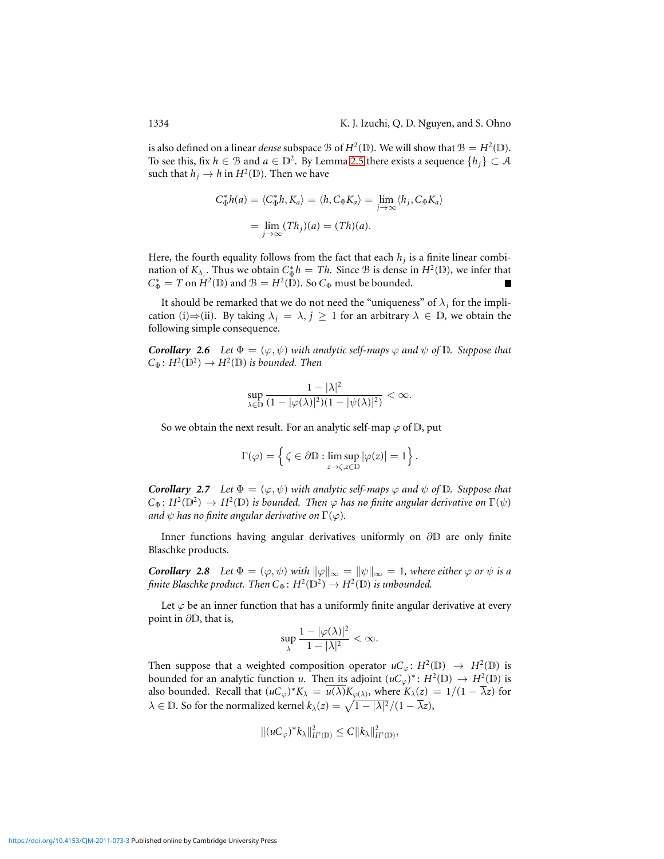is also defined on a linear *dense* subspace  $B$  of  $H^2(\mathbb{D})$ . We will show that  $B = H^2(\mathbb{D})$ . To see this, fix  $h \in \mathcal{B}$  and  $a \in \mathbb{D}^2$ . By Lemma [2.5](#page-3-1) there exists a sequence  $\{h_j\} \subset \mathcal{A}$ such that  $h_j \to h$  in  $H^2(\mathbb{D})$ . Then we have

$$
C_{\Phi}^{*}h(a) = \langle C_{\Phi}^{*}h, K_{a} \rangle = \langle h, C_{\Phi}K_{a} \rangle = \lim_{j \to \infty} \langle h_{j}, C_{\Phi}K_{a} \rangle
$$

$$
= \lim_{j \to \infty} (Th_{j})(a) = (Th)(a).
$$

Here, the fourth equality follows from the fact that each *h<sup>j</sup>* is a finite linear combination of  $K_{\lambda_j}$ . Thus we obtain  $C_{\Phi}^* h = Th$ . Since B is dense in  $H^2(\mathbb{D})$ , we infer that  $C^*_{\Phi} = T$  on  $H^2(\mathbb{D})$  and  $\mathcal{B} = H^2(\mathbb{D})$ . So  $C_{\Phi}$  must be bounded.

It should be remarked that we do not need the "uniqueness" of  $\lambda_j$  for the implication (i)⇒(ii). By taking  $\lambda_j = \lambda, j \ge 1$  for an arbitrary  $\lambda \in \mathbb{D}$ , we obtain the following simple consequence.

*Corollary 2.6 Let*  $\Phi = (\varphi, \psi)$  *with analytic self-maps*  $\varphi$  *and*  $\psi$  *of*  $\mathbb{D}$ *. Suppose that*  $C_{\Phi}$ :  $H^2(\mathbb{D}^2) \to H^2(\mathbb{D})$  *is bounded. Then* 

$$
\sup_{\lambda \in \mathbb{D}} \frac{1 - |\lambda|^2}{(1 - |\varphi(\lambda)|^2)(1 - |\psi(\lambda)|^2)} < \infty.
$$

So we obtain the next result. For an analytic self-map  $\varphi$  of  $\mathbb{D}$ , put

$$
\Gamma(\varphi) = \left\{ \zeta \in \partial \mathbb{D} : \limsup_{z \to \zeta, z \in \mathbb{D}} |\varphi(z)| = 1 \right\}.
$$

*Corollary 2.7 Let*  $\Phi = (\varphi, \psi)$  *with analytic self-maps*  $\varphi$  *and*  $\psi$  *of*  $\mathbb{D}$ *. Suppose that*  $C_{\Phi}$ :  $H^2(\mathbb{D}^2) \to H^2(\mathbb{D})$  *is bounded. Then*  $\varphi$  *has no finite angular derivative on*  $\Gamma(\psi)$ *and*  $\psi$  *has no finite angular derivative on*  $\Gamma(\varphi)$ *.* 

Inner functions having angular derivatives uniformly on ∂D are only finite Blaschke products.

*Corollary 2.8 Let*  $\Phi = (\varphi, \psi)$  *with*  $\|\varphi\|_{\infty} = \|\psi\|_{\infty} = 1$ *, where either*  $\varphi$  *or*  $\psi$  *is a finite Blaschke product.* Then  $C_{\Phi}$ :  $H^2(\mathbb{D}^2) \to H^2(\mathbb{D})$  *is unbounded.* 

Let  $\varphi$  be an inner function that has a uniformly finite angular derivative at every point in ∂D, that is,

$$
\sup_{\lambda} \frac{1 - |\varphi(\lambda)|^2}{1 - |\lambda|^2} < \infty.
$$

Then suppose that a weighted composition operator  $uC_{\varphi} : H^2(\mathbb{D}) \to H^2(\mathbb{D})$  is bounded for an analytic function *u*. Then its adjoint  $(uC_\varphi)^* : H^2(\mathbb{D}) \to H^2(\mathbb{D})$  is also bounded. Recall that  $(uC_\varphi)^*K_\lambda = \overline{u(\lambda)}K_{\varphi(\lambda)},$  where  $K_\lambda(z) = 1/(1 - \overline{\lambda}z)$  for  $\lambda \in \mathbb{D}$ . So for the normalized kernel  $k_{\lambda}(z) = \sqrt{1 - |\lambda|^2}/(1 - \overline{\lambda}z)$ ,

$$
|| (uC_{\varphi})^* k_{\lambda} ||_{H^2(\mathbb{D})}^2 \leq C ||k_{\lambda} ||_{H^2(\mathbb{D})}^2,
$$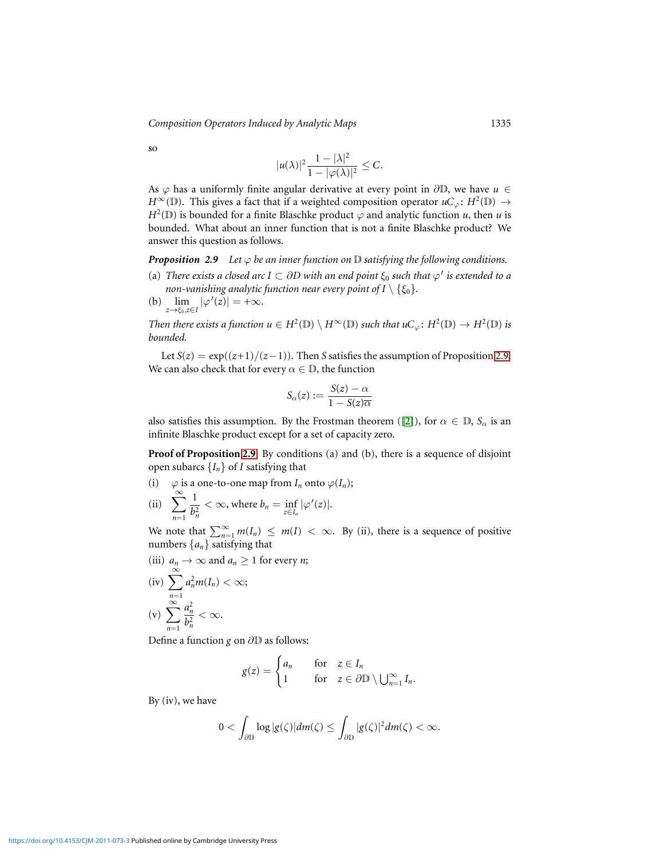*Composition Operators Induced by Analytic Maps* 1335

so

$$
|u(\lambda)|^2 \frac{1 - |\lambda|^2}{1 - |\varphi(\lambda)|^2} \leq C.
$$

As  $\varphi$  has a uniformly finite angular derivative at every point in  $\partial\mathbb{D}$ , we have  $u \in$  $H^{\infty}(\mathbb{D})$ . This gives a fact that if a weighted composition operator  $uC_{\varphi}$ :  $H^2(\mathbb{D}) \to$  $H^2(\mathbb{D})$  is bounded for a finite Blaschke product  $\varphi$  and analytic function *u*, then *u* is bounded. What about an inner function that is not a finite Blaschke product? We answer this question as follows.

<span id="page-6-0"></span>*Proposition 2.9* Let  $\varphi$  *be an inner function on*  $\mathbb D$  *satisfying the following conditions.* 

- (a) *There exists a closed arc I*  $\subset$   $\partial D$  with an end point  $\xi_0$  such that  $\varphi'$  is extended to a *non-vanishing analytic function near every point of I*  $\setminus$  { $\xi_0$ }.
- (b)  $\lim_{z \to \xi_0, z \in I} |\varphi'(z)| = +\infty$ .

*Then there exists a function*  $u \in H^2(\mathbb{D}) \setminus H^{\infty}(\mathbb{D})$  *such that*  $uC_{\varphi} \colon H^2(\mathbb{D}) \to H^2(\mathbb{D})$  *is bounded.*

Let  $S(z) = \exp((z+1)/(z-1))$ . Then *S* satisfies the assumption of Proposition [2.9.](#page-6-0) We can also check that for every  $\alpha \in \mathbb{D}$ , the function

$$
S_{\alpha}(z) := \frac{S(z) - \alpha}{1 - S(z)\overline{\alpha}}
$$

also satisfies this assumption. By the Frostman theorem ([\[2\]](#page-11-7)), for  $\alpha \in \mathbb{D}$ ,  $S_{\alpha}$  is an infinite Blaschke product except for a set of capacity zero.

**Proof of Proposition [2.9](#page-6-0)** By conditions (a) and (b), there is a sequence of disjoint open subarcs  ${I_n}$  of *I* satisfying that

(i)  $\varphi$  is a one-to-one map from  $I_n$  onto  $\varphi(I_n)$ ; (ii)  $\sum_{n=1}^{\infty}$ 1  $\frac{1}{b_n^2} < \infty$ , where  $b_n = \inf_{z \in I_n} |\varphi'(z)|$ .

We note that  $\sum_{n=1}^{\infty} m(I_n) \leq m(I) < \infty$ . By (ii), there is a sequence of positive numbers  $\{a_n\}$  satisfying that

(iii)  $a_n \to \infty$  and  $a_n \ge 1$  for every *n*;

(iv) 
$$
\sum_{n=1}^{\infty} a_n^2 m(I_n) < \infty;
$$
  
(v) 
$$
\sum_{n=1}^{\infty} \frac{a_n^2}{b_n^2} < \infty.
$$

*n*=1

Define a function *g* on ∂D as follows:

$$
g(z) = \begin{cases} a_n & \text{for } z \in I_n \\ 1 & \text{for } z \in \partial \mathbb{D} \setminus \bigcup_{n=1}^{\infty} I_n. \end{cases}
$$

By  $(iv)$ , we have

$$
0<\int_{\partial\mathbb{D}}\log|g(\zeta)|dm(\zeta)\leq\int_{\partial\mathbb{D}}|g(\zeta)|^2dm(\zeta)<\infty.
$$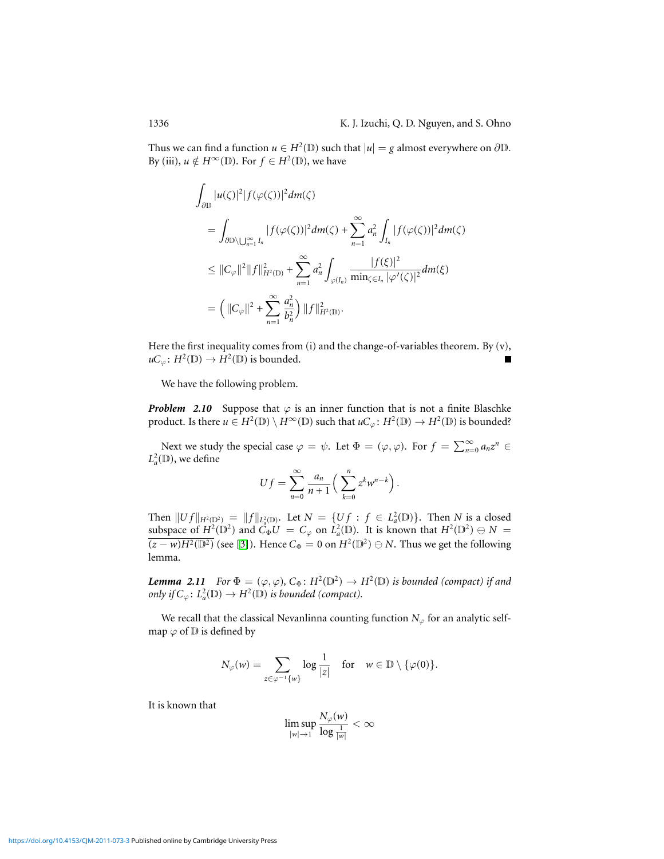Thus we can find a function  $u \in H^2(\mathbb{D})$  such that  $|u| = g$  almost everywhere on  $\partial \mathbb{D}$ . By (iii),  $u \notin H^{\infty}(\mathbb{D})$ . For  $f \in H^2(\mathbb{D})$ , we have

$$
\int_{\partial \mathbb{D}} |u(\zeta)|^2 |f(\varphi(\zeta))|^2 dm(\zeta)
$$
\n
$$
= \int_{\partial \mathbb{D} \setminus \bigcup_{n=1}^{\infty} I_n} |f(\varphi(\zeta))|^2 dm(\zeta) + \sum_{n=1}^{\infty} a_n^2 \int_{I_n} |f(\varphi(\zeta))|^2 dm(\zeta)
$$
\n
$$
\leq ||C_{\varphi}||^2 ||f||_{H^2(\mathbb{D})}^2 + \sum_{n=1}^{\infty} a_n^2 \int_{\varphi(I_n)} \frac{|f(\xi)|^2}{\min_{\zeta \in I_n} |\varphi'(\zeta)|^2} dm(\xi)
$$
\n
$$
= \left( ||C_{\varphi}||^2 + \sum_{n=1}^{\infty} \frac{a_n^2}{b_n^2} \right) ||f||_{H^2(\mathbb{D})}^2.
$$

Here the first inequality comes from (i) and the change-of-variables theorem. By (v),  $\mathcal{U}C_{\varphi}$ :  $H^2(\mathbb{D}) \to H^2(\mathbb{D})$  is bounded.

We have the following problem.

*Problem 2.10* Suppose that  $\varphi$  is an inner function that is not a finite Blaschke product. Is there  $u \in H^2(\mathbb{D}) \setminus H^{\infty}(\mathbb{D})$  such that  $uC_{\varphi} \colon H^2(\mathbb{D}) \to H^2(\mathbb{D})$  is bounded?

Next we study the special case  $\varphi = \psi$ . Let  $\Phi = (\varphi, \varphi)$ . For  $f = \sum_{n=0}^{\infty} a_n z^n$  $L^2_a(\mathbb{D})$ , we define

$$
Uf = \sum_{n=0}^{\infty} \frac{a_n}{n+1} \left( \sum_{k=0}^{n} z^k w^{n-k} \right).
$$

Then  $||Uf||_{H^2(\mathbb{D}^2)} = ||f||_{L^2_a(\mathbb{D})}$ . Let  $N = \{Uf : f \in L^2_a(\mathbb{D})\}$ . Then *N* is a closed subspace of  $H^2(\mathbb{D}^2)$  and  $C_{\Phi}U = C_{\varphi}$  on  $L^2_{\theta}(\mathbb{D})$ . It is known that  $H^2(\mathbb{D}^2) \oplus N =$  $\sqrt{(z-w)H^2(\mathbb{D}^2)}$  (see [\[3\]](#page-11-8)). Hence  $C_{\Phi} = 0$  on  $H^2(\mathbb{D}^2) ⊕ N$ . Thus we get the following lemma.

<span id="page-7-0"></span>*Lemma 2.11 For*  $\Phi = (\varphi, \varphi), C_{\Phi}: H^2(\mathbb{D}^2) \to H^2(\mathbb{D})$  *is bounded (compact) if and only if*  $C_\varphi$ :  $L^2_a(\mathbb{D}) \to H^2(\mathbb{D})$  *is bounded (compact).* 

We recall that the classical Nevanlinna counting function  $N_{\varphi}$  for an analytic selfmap  $\varphi$  of  $D$  is defined by

$$
N_{\varphi}(w) = \sum_{z \in \varphi^{-1}\{w\}} \log \frac{1}{|z|} \quad \text{for} \quad w \in \mathbb{D} \setminus \{\varphi(0)\}.
$$

It is known that

$$
\limsup_{|w|\to 1}\frac{N_{\varphi}(w)}{\log\frac{1}{|w|}}<\infty
$$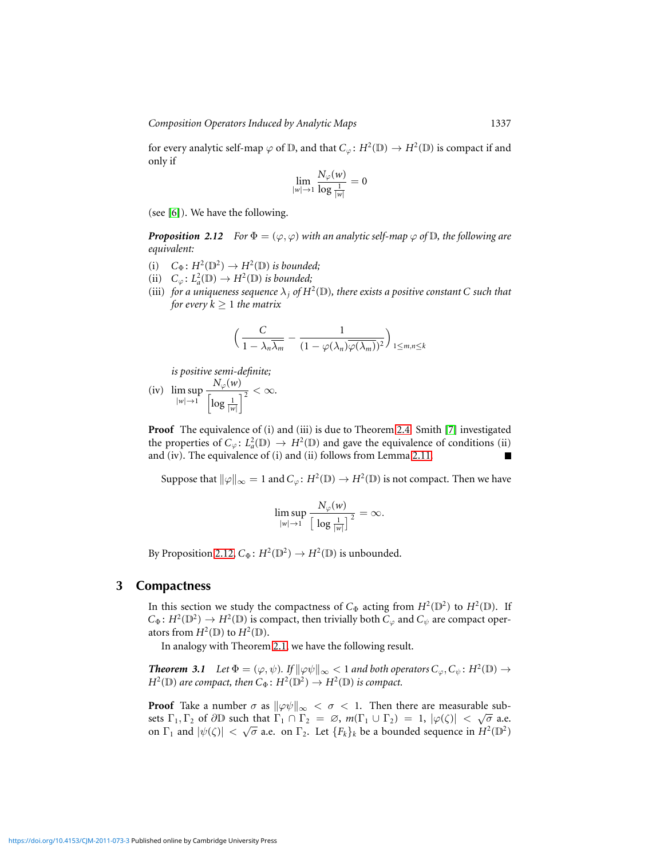*Composition Operators Induced by Analytic Maps* 1337

for every analytic self-map  $\varphi$  of  $D$ , and that  $C_{\varphi} \colon H^2(D) \to H^2(D)$  is compact if and only if

$$
\lim_{|w|\to 1}\frac{N_\varphi(w)}{\log\frac{1}{|w|}}=0
$$

(see [\[6\]](#page-11-4)). We have the following.

<span id="page-8-0"></span>*Proposition 2.12 For*  $\Phi = (\varphi, \varphi)$  *with an analytic self-map*  $\varphi$  *of*  $\mathbb{D}$ *, the following are equivalent:*

- (i)  $C_{\Phi} \colon H^2(\mathbb{D}^2) \to H^2(\mathbb{D})$  *is bounded*;
- (ii)  $C_{\varphi} \colon L^2_a(\mathbb{D}) \to H^2(\mathbb{D})$  *is bounded*;
- (iii) for a uniqueness sequence  $\lambda_j$  of  $H^2(\mathbb{D})$ , there exists a positive constant C such that *for every*  $k \geq 1$  *the matrix*

$$
\left(\frac{C}{1-\lambda_n\overline{\lambda_m}}-\frac{1}{(1-\varphi(\lambda_n)\overline{\varphi(\lambda_m)})^2}\right)_{1\leq m,n\leq k}
$$

*is positive semi-definite;*

(iv) lim sup  $|w| \rightarrow 1$  $N_\varphi(w)$  $\frac{1}{\left|\log\frac{1}{|w|}\right|^2} < \infty.$ 

**Proof** The equivalence of (i) and (iii) is due to Theorem [2.4.](#page-3-0) Smith [\[7\]](#page-11-9) investigated the properties of  $C_\varphi: L^2_a(\mathbb{D}) \to H^2(\mathbb{D})$  and gave the equivalence of conditions (ii) and (iv). The equivalence of (i) and (ii) follows from Lemma [2.11.](#page-7-0) ■

Suppose that  $\|\varphi\|_{\infty} = 1$  and  $C_{\varphi}$ :  $H^2(\mathbb{D}) \to H^2(\mathbb{D})$  is not compact. Then we have

$$
\limsup_{|w|\to 1}\frac{N_\varphi(w)}{\big[\log\frac{1}{|w|}\big]^2}=\infty.
$$

By Proposition [2.12,](#page-8-0)  $C_{\Phi}$ :  $H^2(\mathbb{D}^2) \to H^2(\mathbb{D})$  is unbounded.

#### **3 Compactness**

In this section we study the compactness of  $C_{\Phi}$  acting from  $H^2(\mathbb{D}^2)$  to  $H^2(\mathbb{D})$ . If  $C_{\Phi}$ :  $H^2(\mathbb{D}^2) \to H^2(\mathbb{D})$  is compact, then trivially both  $C_{\varphi}$  and  $C_{\psi}$  are compact operators from  $H^2(\mathbb{D})$  to  $H^2(\mathbb{D})$ .

In analogy with Theorem [2.1,](#page-1-0) we have the following result.

*Theorem 3.1 Let*  $\Phi = (\varphi, \psi)$ *. If*  $\|\varphi\psi\|_{\infty} < 1$  *and both operators*  $C_{\varphi}, C_{\psi}$ *: H*<sup>2</sup>( $\mathbb{D}$ )  $\rightarrow$  $H^2(\mathbb{D})$  *are compact, then*  $C_{\Phi}$ :  $H^2(\mathbb{D}^2) \to H^2(\mathbb{D})$  *is compact.* 

**Proof** Take a number  $\sigma$  as  $\|\varphi\psi\|_{\infty} < \sigma < 1$ . Then there are measurable subsets  $\Gamma_1, \Gamma_2$  of  $\partial \mathbb{D}$  such that  $\Gamma_1 \cap \Gamma_2 = \emptyset$ ,  $m(\Gamma_1 \cup \Gamma_2) = 1$ ,  $|\varphi(\zeta)| < \sqrt{\sigma}$  a.e. on  $\Gamma_1$  and  $|\psi(\zeta)| < \sqrt{\sigma}$  a.e. on  $\Gamma_2$ . Let  $\{F_k\}_k$  be a bounded sequence in  $H^2(\mathbb{D}^2)$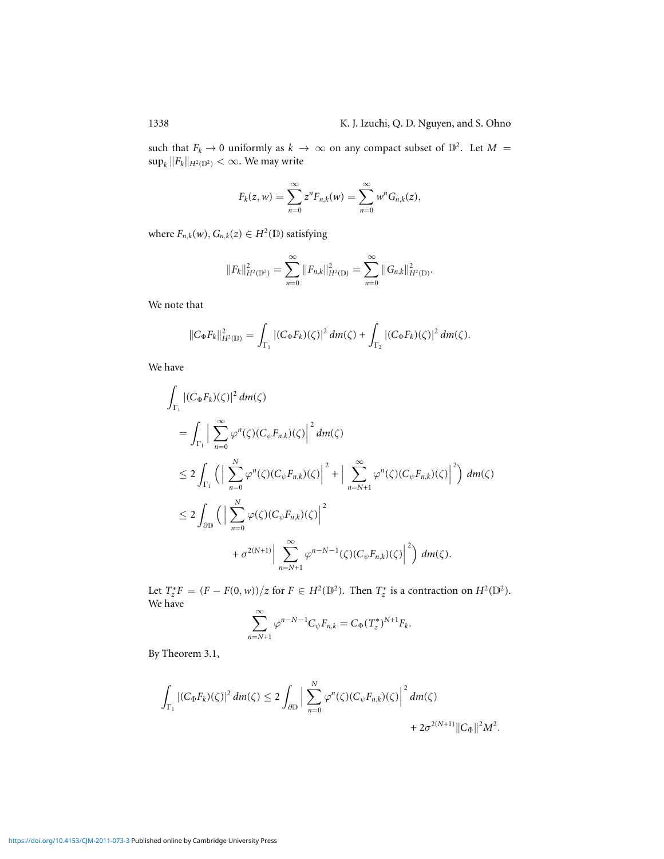such that  $F_k \to 0$  uniformly as  $k \to \infty$  on any compact subset of  $\mathbb{D}^2$ . Let  $M =$  $\sup_k \|F_k\|_{H^2(\mathbb{D}^2)} < \infty$ . We may write

$$
F_k(z, w) = \sum_{n=0}^{\infty} z^n F_{n,k}(w) = \sum_{n=0}^{\infty} w^n G_{n,k}(z),
$$

where  $F_{n,k}(w)$ ,  $G_{n,k}(z) \in H^2(\mathbb{D})$  satisfying

$$
||F_k||_{H^2(\mathbb{D}^2)}^2 = \sum_{n=0}^{\infty} ||F_{n,k}||_{H^2(\mathbb{D})}^2 = \sum_{n=0}^{\infty} ||G_{n,k}||_{H^2(\mathbb{D})}^2.
$$

We note that

$$
||C_{\Phi}F_k||_{H^2(\mathbb{D})}^2 = \int_{\Gamma_1} |(C_{\Phi}F_k)(\zeta)|^2 \, dm(\zeta) + \int_{\Gamma_2} |(C_{\Phi}F_k)(\zeta)|^2 \, dm(\zeta).
$$

We have

$$
\int_{\Gamma_1} |(C_{\Phi} F_k)(\zeta)|^2 dm(\zeta)
$$
\n
$$
= \int_{\Gamma_1} \left| \sum_{n=0}^{\infty} \varphi^n(\zeta) (C_{\psi} F_{n,k})(\zeta) \right|^2 dm(\zeta)
$$
\n
$$
\leq 2 \int_{\Gamma_1} \left( \left| \sum_{n=0}^N \varphi^n(\zeta) (C_{\psi} F_{n,k})(\zeta) \right|^2 + \left| \sum_{n=N+1}^{\infty} \varphi^n(\zeta) (C_{\psi} F_{n,k})(\zeta) \right|^2 \right) dm(\zeta)
$$
\n
$$
\leq 2 \int_{\partial \mathbb{D}} \left( \left| \sum_{n=0}^N \varphi(\zeta) (C_{\psi} F_{n,k})(\zeta) \right|^2 + \sigma^{2(N+1)} \left| \sum_{n=N+1}^{\infty} \varphi^{n-N-1}(\zeta) (C_{\psi} F_{n,k})(\zeta) \right|^2 \right) dm(\zeta).
$$

Let  $T_z^*F = (F - F(0, w))/z$  for  $F \in H^2(\mathbb{D}^2)$ . Then  $T_z^*$  is a contraction on  $H^2(\mathbb{D}^2)$ . We have

$$
\sum_{n=N+1}^{\infty} \varphi^{n-N-1} C_{\psi} F_{n,k} = C_{\Phi} (T_z^*)^{N+1} F_k.
$$

By Theorem 3.1,

$$
\int_{\Gamma_1} |(C_{\Phi} F_k)(\zeta)|^2 dm(\zeta) \leq 2 \int_{\partial \mathbb{D}} \Big| \sum_{n=0}^N \varphi^n(\zeta) (C_{\psi} F_{n,k})(\zeta) \Big|^2 dm(\zeta) + 2\sigma^{2(N+1)} ||C_{\Phi}||^2 M^2.
$$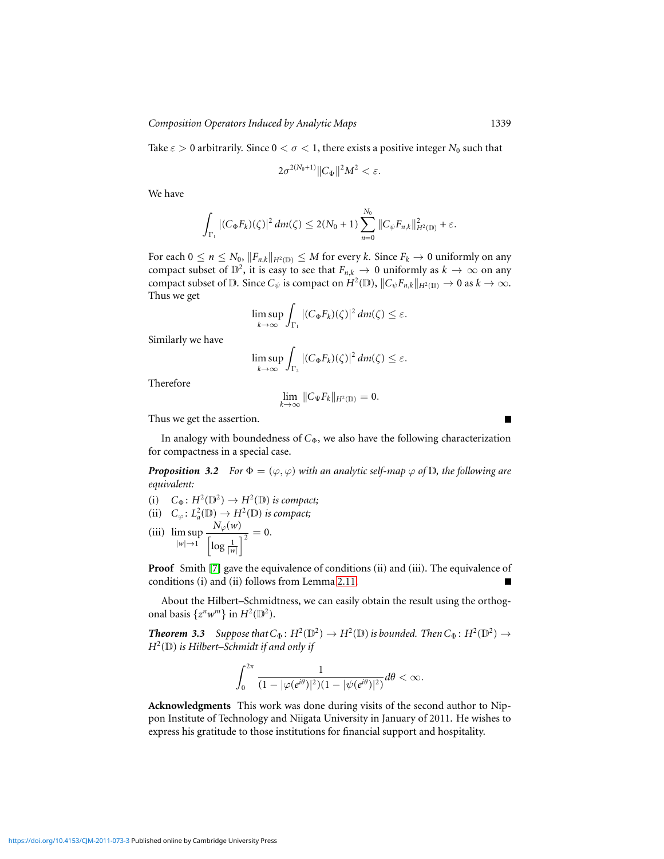Take  $\varepsilon > 0$  arbitrarily. Since  $0 < \sigma < 1$ , there exists a positive integer  $N_0$  such that

$$
2\sigma^{2(N_0+1)}\|C_{\Phi}\|^2M^2<\varepsilon.
$$

We have

$$
\int_{\Gamma_1} |(C_{\Phi} F_k)(\zeta)|^2 \, dm(\zeta) \leq 2(N_0+1) \sum_{n=0}^{N_0} ||C_{\psi} F_{n,k}||_{H^2(\mathbb{D})}^2 + \varepsilon.
$$

For each  $0 \le n \le N_0$ ,  $||F_{n,k}||_{H^2(\mathbb{D})} \le M$  for every *k*. Since  $F_k \to 0$  uniformly on any compact subset of  $\mathbb{D}^2$ , it is easy to see that  $F_{n,k} \to 0$  uniformly as  $k \to \infty$  on any compact subset of D. Since  $C_{\psi}$  is compact on  $H^2(\mathbb{D})$ ,  $||C_{\psi}F_{n,k}||_{H^2(\mathbb{D})} \to 0$  as  $k \to \infty$ . Thus we get

$$
\limsup_{k\to\infty}\int_{\Gamma_1}|(C_{\Phi}F_k)(\zeta)|^2\,dm(\zeta)\leq\varepsilon.
$$

Similarly we have

$$
\limsup_{k\to\infty}\int_{\Gamma_2}|(C_{\Phi}F_k)(\zeta)|^2\,dm(\zeta)\leq\varepsilon.
$$

Therefore

$$
\lim_{k\to\infty}||C_{\Psi}F_k||_{H^2(\mathbb{D})}=0.
$$

Thus we get the assertion.

In analogy with boundedness of *C*Φ, we also have the following characterization for compactness in a special case.

*Proposition 3.2 For*  $\Phi = (\varphi, \varphi)$  *with an analytic self-map*  $\varphi$  *of*  $\mathbb{D}$ *, the following are equivalent:*

- (i)  $C_{\Phi}$ :  $H^2(\mathbb{D}^2) \to H^2(\mathbb{D})$  *is compact*;
- (ii)  $C_{\varphi} \colon L^2_a(\mathbb{D}) \to H^2(\mathbb{D})$  *is compact*;
- (iii) lim sup  $|w| \rightarrow 1$  $N_\varphi(w)$  $\frac{N_{\varphi}(W)}{\left|\log\frac{1}{|W|}\right|^2}=0.$

**Proof** Smith [\[7\]](#page-11-9) gave the equivalence of conditions (ii) and (iii). The equivalence of conditions (i) and (ii) follows from Lemma [2.11.](#page-7-0)

About the Hilbert–Schmidtness, we can easily obtain the result using the orthogonal basis  $\{z^n w^m\}$  in  $H^2(\mathbb{D}^2)$ .

**Theorem 3.3** Suppose that  $C_{\Phi}$ :  $H^2(\mathbb{D}^2) \to H^2(\mathbb{D})$  is bounded. Then  $C_{\Phi}$ :  $H^2(\mathbb{D}^2) \to$ *H*2 (D) *is Hilbert–Schmidt if and only if*

$$
\int_0^{2\pi} \frac{1}{(1-|\varphi(e^{i\theta})|^2)(1-|\psi(e^{i\theta})|^2)} d\theta < \infty.
$$

**Acknowledgments** This work was done during visits of the second author to Nippon Institute of Technology and Niigata University in January of 2011. He wishes to express his gratitude to those institutions for financial support and hospitality.

<https://doi.org/10.4153/CJM-2011-073-3>Published online by Cambridge University Press